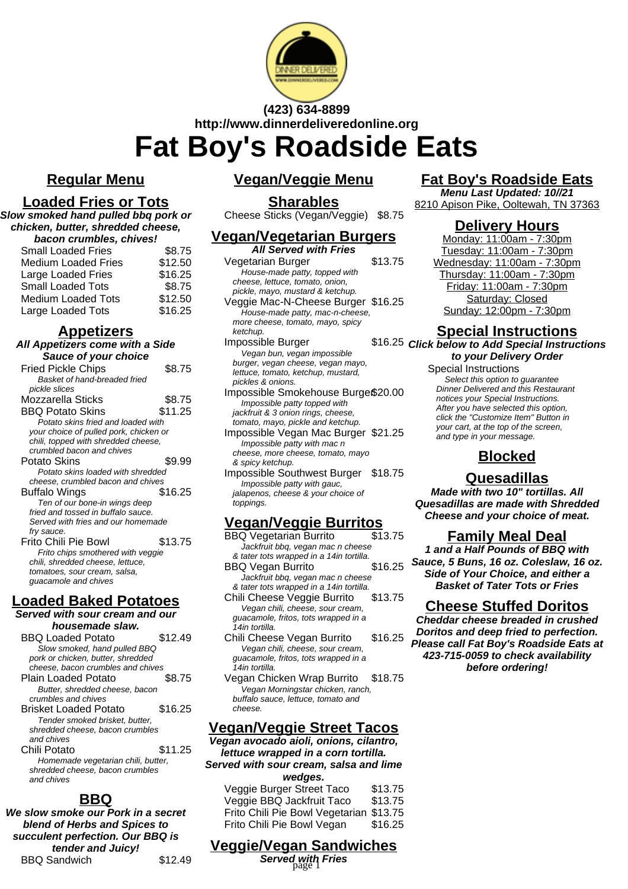

**(423) 634-8899 http://www.dinnerdeliveredonline.org**

# **Fat Boy's Roadside Eats**

## **Regular Menu**

#### **Loaded Fries or Tots**

**Slow smoked hand pulled bbq pork or chicken, butter, shredded cheese,**

| bacon crumbles, chives!    |         |  |
|----------------------------|---------|--|
| <b>Small Loaded Fries</b>  | \$8.75  |  |
| <b>Medium Loaded Fries</b> | \$12.50 |  |
| Large Loaded Fries         | \$16.25 |  |
| <b>Small Loaded Tots</b>   | \$8.75  |  |
| <b>Medium Loaded Tots</b>  | \$12.50 |  |
| Large Loaded Tots          | \$16.25 |  |

#### **Appetizers**

| All Appetizers come with a Side        |         |  |  |
|----------------------------------------|---------|--|--|
| Sauce of your choice                   |         |  |  |
| <b>Fried Pickle Chips</b>              | \$8.75  |  |  |
| Basket of hand-breaded fried           |         |  |  |
| pickle slices                          |         |  |  |
| Mozzarella Sticks                      | \$8.75  |  |  |
| <b>BBQ Potato Skins</b>                | \$11.25 |  |  |
| Potato skins fried and loaded with     |         |  |  |
| your choice of pulled pork, chicken or |         |  |  |
| chili, topped with shredded cheese,    |         |  |  |
| crumbled bacon and chives              |         |  |  |
| Potato Skins                           | \$9.99  |  |  |
| Potato skins loaded with shredded      |         |  |  |
| cheese, crumbled bacon and chives      |         |  |  |
| Buffalo Wings                          | \$16.25 |  |  |
| Ten of our bone-in wings deep          |         |  |  |
| fried and tossed in buffalo sauce.     |         |  |  |
| Served with fries and our homemade     |         |  |  |
| fry sauce.                             |         |  |  |
| Frito Chili Pie Bowl                   | \$13.75 |  |  |
| Frito chips smothered with veggie      |         |  |  |
| chili, shredded cheese, lettuce,       |         |  |  |
| tomatoes, sour cream, salsa,           |         |  |  |

# **Loaded Baked Potatoes**

guacamole and chives

#### **Served with sour cream and our housemade slaw.**

| <b>BBO Loaded Potato</b>           | \$12.49 |
|------------------------------------|---------|
| Slow smoked, hand pulled BBQ       |         |
| pork or chicken, butter, shredded  |         |
| cheese, bacon crumbles and chives  |         |
| Plain Loaded Potato                | \$8.75  |
| Butter, shredded cheese, bacon     |         |
| crumbles and chives                |         |
| Brisket Loaded Potato              | \$16.25 |
| Tender smoked brisket, butter,     |         |
| shredded cheese, bacon crumbles    |         |
| and chives                         |         |
| Chili Potato                       | \$11.25 |
| Homemade vegetarian chili, butter, |         |
| shredded cheese, bacon crumbles    |         |
| and chives                         |         |

# **BBQ**

**We slow smoke our Pork in a secret blend of Herbs and Spices to succulent perfection. Our BBQ is tender and Juicy!** BBQ Sandwich \$12.49

### **Vegan/Veggie Menu**

#### **Sharables**

Cheese Sticks (Vegan/Veggie) \$8.75

## **Vegan/Vegetarian Burgers**

| <b>All Served with Fries</b>       |         |
|------------------------------------|---------|
| Vegetarian Burger                  | \$13.75 |
| House-made patty, topped with      |         |
| cheese, lettuce, tomato, onion,    |         |
| pickle, mayo, mustard & ketchup.   |         |
| Veggie Mac-N-Cheese Burger \$16.25 |         |
| House-made patty, mac-n-cheese,    |         |
| more cheese, tomato, mayo, spicy   |         |
| ketchup.                           |         |
| Impossible Burger                  | \$16.25 |
| Vegan bun, vegan impossible        |         |
| burger, vegan cheese, vegan mayo,  |         |
| lettuce, tomato, ketchup, mustard, |         |
| pickles & onions.                  |         |
| Impossible Smokehouse Burge\$20.00 |         |
| Impossible patty topped with       |         |
|                                    |         |

jackfruit & 3 onion rings, cheese, tomato, mayo, pickle and ketchup. Impossible Vegan Mac Burger \$21.25 Impossible patty with mac n cheese, more cheese, tomato, mayo

& spicy ketchup.

Impossible Southwest Burger \$18.75 Impossible patty with gauc, jalapenos, cheese & your choice of toppings.

# **Vegan/Veggie Burritos**

BBQ Vegetarian Burrito Jackfruit bbq, vegan mac n cheese

& tater tots wrapped in a 14in tortilla. BBQ Vegan Burrito \$16.25 Jackfruit bbq, vegan mac n cheese & tater tots wrapped in a 14in tortilla.

Chili Cheese Veggie Burrito \$13.75 Vegan chili, cheese, sour cream, guacamole, fritos, tots wrapped in a 14in tortilla.

- Chili Cheese Vegan Burrito \$16.25 Vegan chili, cheese, sour cream, guacamole, fritos, tots wrapped in a 14in tortilla.
- Vegan Chicken Wrap Burrito \$18.75 Vegan Morningstar chicken, ranch, buffalo sauce, lettuce, tomato and cheese.

# **Vegan/Veggie Street Tacos**

**Vegan avocado aioli, onions, cilantro, lettuce wrapped in a corn tortilla. Served with sour cream, salsa and lime wedges.**

Veggie Burger Street Taco \$13.75 Veggie BBQ Jackfruit Taco \$13.75 Frito Chili Pie Bowl Vegetarian \$13.75 Frito Chili Pie Bowl Vegan \$16.25

# **Veggie/Vegan Sandwiches**

**Served with Fries** page 1

# **Fat Boy's Roadside Eats**

**Menu Last Updated: 10//21** 8210 Apison Pike, Ooltewah, TN 37363

#### **Delivery Hours**

Monday: 11:00am - 7:30pm Tuesday: 11:00am - 7:30pm Wednesday: 11:00am - 7:30pm Thursday: 11:00am - 7:30pm Friday: 11:00am - 7:30pm Saturday: Closed Sunday: 12:00pm - 7:30pm

# **Special Instructions**

**Click below to Add Special Instructions to your Delivery Order**

Special Instructions Select this option to quarantee Dinner Delivered and this Restaurant notices your Special Instructions. After you have selected this option, click the "Customize Item" Button in your cart, at the top of the screen, and type in your message.

# **Blocked**

# **Quesadillas**

**Made with two 10" tortillas. All Quesadillas are made with Shredded Cheese and your choice of meat.**

#### **Family Meal Deal**

**1 and a Half Pounds of BBQ with Sauce, 5 Buns, 16 oz. Coleslaw, 16 oz. Side of Your Choice, and either a Basket of Tater Tots or Fries**

# **Cheese Stuffed Doritos**

**Cheddar cheese breaded in crushed Doritos and deep fried to perfection. Please call Fat Boy's Roadside Eats at 423-715-0059 to check availability before ordering!**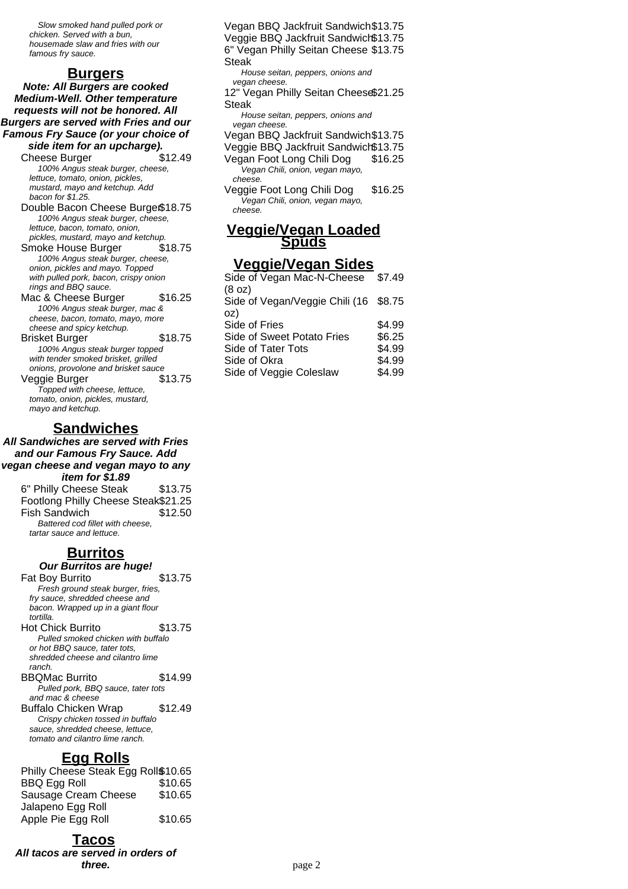Slow smoked hand pulled pork or chicken. Served with a bun, housemade slaw and fries with our famous fry sauce.

#### **Burgers**

**Note: All Burgers are cooked Medium-Well. Other temperature requests will not be honored. All Burgers are served with Fries and our Famous Fry Sauce (or your choice of side item for an upcharge).**

Cheese Burger \$12.49 100% Angus steak burger, cheese, lettuce, tomato, onion, pickles, mustard, mayo and ketchup. Add bacon for \$1.25.

Double Bacon Cheese Burge\$18.75 100% Angus steak burger, cheese, lettuce, bacon, tomato, onion, pickles, mustard, mayo and ketchup.

Smoke House Burger \$18.75 100% Angus steak burger, cheese, onion, pickles and mayo. Topped with pulled pork, bacon, crispy onion rings and BBQ sauce.

Mac & Cheese Burger \$16.25 100% Angus steak burger, mac & cheese, bacon, tomato, mayo, more cheese and spicy ketchup. Brisket Burger \$18.75 100% Angus steak burger topped with tender smoked brisket, grilled onions, provolone and brisket sauce Veggie Burger **\$13.75** 

Topped with cheese, lettuce, tomato, onion, pickles, mustard, mayo and ketchup.

#### **Sandwiches**

**All Sandwiches are served with Fries and our Famous Fry Sauce. Add vegan cheese and vegan mayo to any item for \$1.89**

6" Philly Cheese Steak \$13.75 Footlong Philly Cheese Steak\$21.25 Fish Sandwich \$12.50 Battered cod fillet with cheese, tartar sauce and lettuce.

#### **Burritos**

**Our Burritos are huge!**

Fat Boy Burrito \$13.75 Fresh ground steak burger, fries, fry sauce, shredded cheese and bacon. Wrapped up in a giant flour tortilla.

Hot Chick Burrito \$13.75 Pulled smoked chicken with buffalo or hot BBQ sauce, tater tots, shredded cheese and cilantro lime ranch.

BBQMac Burrito \$14.99 Pulled pork, BBQ sauce, tater tots and mac & cheese Buffalo Chicken Wrap \$12.49 Crispy chicken tossed in buffalo

sauce, shredded cheese, lettuce, tomato and cilantro lime ranch.

#### **Egg Rolls**

| Philly Cheese Steak Egg Roll\$10.65 |         |
|-------------------------------------|---------|
| <b>BBQ Egg Roll</b>                 | \$10.65 |
| Sausage Cream Cheese                | \$10.65 |
| Jalapeno Egg Roll                   |         |
| Apple Pie Egg Roll                  | \$10.65 |

#### **Tacos**

**All tacos are served in orders of three.**

Vegan BBQ Jackfruit Sandwich\$13.75 Veggie BBQ Jackfruit Sandwich\$13.75 6" Vegan Philly Seitan Cheese \$13.75 Steak House seitan, peppers, onions and vegan cheese. 12" Vegan Philly Seitan Cheese \$21.25 Steak House seitan, peppers, onions and vegan cheese. Vegan BBQ Jackfruit Sandwich\$13.75 Veggie BBQ Jackfruit Sandwich\$13.75 Vegan Foot Long Chili Dog \$16.25 Vegan Chili, onion, vegan mayo, cheese.

Veggie Foot Long Chili Dog \$16.25 Vegan Chili, onion, vegan mayo, cheese.

#### **Veggie/Vegan Loaded Spuds**

#### **Veggie/Vegan Sides**

| Side of Vegan Mac-N-Cheese            | \$7.49 |
|---------------------------------------|--------|
| (8 oz)                                |        |
| Side of Vegan/Veggie Chili (16 \$8.75 |        |
| oz)                                   |        |
| Side of Fries                         | \$4.99 |
| Side of Sweet Potato Fries            | \$6.25 |
| Side of Tater Tots                    | \$4.99 |
| Side of Okra                          | \$4.99 |
| Side of Veggie Coleslaw               | \$4.99 |
|                                       |        |